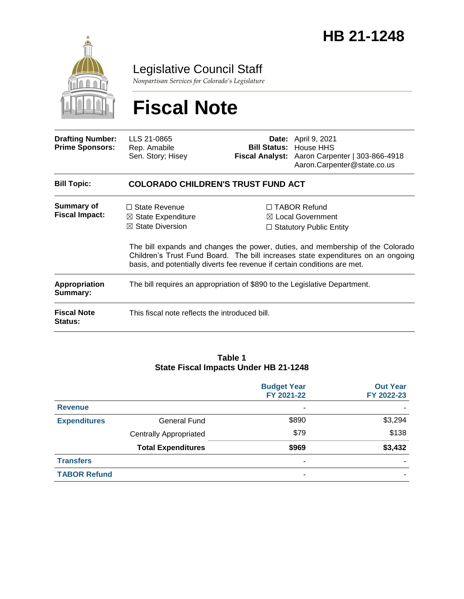

Legislative Council Staff

*Nonpartisan Services for Colorado's Legislature*

# **Fiscal Note**

| <b>Drafting Number:</b><br><b>Prime Sponsors:</b> | LLS 21-0865<br>Rep. Amabile<br>Sen. Story; Hisey                                                                                                                  |  | <b>Date:</b> April 9, 2021<br><b>Bill Status: House HHS</b><br>Fiscal Analyst: Aaron Carpenter   303-866-4918<br>Aaron.Carpenter@state.co.us                                                                                                                |  |  |
|---------------------------------------------------|-------------------------------------------------------------------------------------------------------------------------------------------------------------------|--|-------------------------------------------------------------------------------------------------------------------------------------------------------------------------------------------------------------------------------------------------------------|--|--|
| <b>Bill Topic:</b>                                | <b>COLORADO CHILDREN'S TRUST FUND ACT</b>                                                                                                                         |  |                                                                                                                                                                                                                                                             |  |  |
| Summary of<br><b>Fiscal Impact:</b>               | $\Box$ State Revenue<br>$\boxtimes$ State Expenditure<br>$\boxtimes$ State Diversion<br>basis, and potentially diverts fee revenue if certain conditions are met. |  | $\Box$ TABOR Refund<br>$\boxtimes$ Local Government<br>$\Box$ Statutory Public Entity<br>The bill expands and changes the power, duties, and membership of the Colorado<br>Children's Trust Fund Board. The bill increases state expenditures on an ongoing |  |  |
| <b>Appropriation</b><br>Summary:                  | The bill requires an appropriation of \$890 to the Legislative Department.                                                                                        |  |                                                                                                                                                                                                                                                             |  |  |
| <b>Fiscal Note</b><br>Status:                     | This fiscal note reflects the introduced bill.                                                                                                                    |  |                                                                                                                                                                                                                                                             |  |  |

#### **Table 1 State Fiscal Impacts Under HB 21-1248**

|                     |                               | <b>Budget Year</b><br>FY 2021-22 | <b>Out Year</b><br>FY 2022-23 |
|---------------------|-------------------------------|----------------------------------|-------------------------------|
| <b>Revenue</b>      |                               | ٠                                |                               |
| <b>Expenditures</b> | General Fund                  | \$890                            | \$3,294                       |
|                     | <b>Centrally Appropriated</b> | \$79                             | \$138                         |
|                     | <b>Total Expenditures</b>     | \$969                            | \$3,432                       |
| <b>Transfers</b>    |                               | ۰                                |                               |
| <b>TABOR Refund</b> |                               | ۰                                |                               |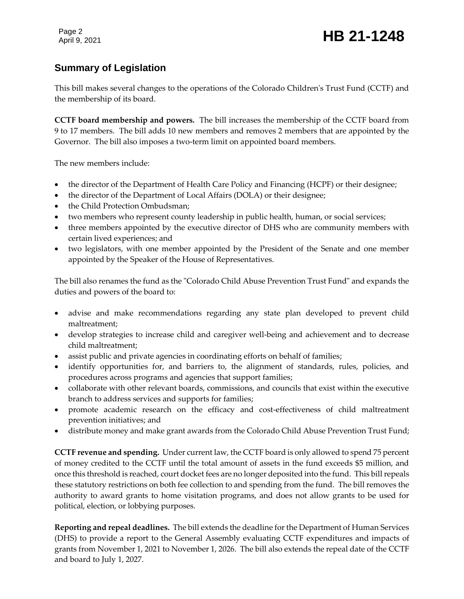# **Summary of Legislation**

This bill makes several changes to the operations of the Colorado Children's Trust Fund (CCTF) and the membership of its board.

**CCTF board membership and powers.** The bill increases the membership of the CCTF board from 9 to 17 members. The bill adds 10 new members and removes 2 members that are appointed by the Governor. The bill also imposes a two-term limit on appointed board members.

The new members include:

- the director of the Department of Health Care Policy and Financing (HCPF) or their designee;
- the director of the Department of Local Affairs (DOLA) or their designee;
- the Child Protection Ombudsman;
- two members who represent county leadership in public health, human, or social services;
- three members appointed by the executive director of DHS who are community members with certain lived experiences; and
- two legislators, with one member appointed by the President of the Senate and one member appointed by the Speaker of the House of Representatives.

The bill also renames the fund as the "Colorado Child Abuse Prevention Trust Fund" and expands the duties and powers of the board to:

- advise and make recommendations regarding any state plan developed to prevent child maltreatment;
- develop strategies to increase child and caregiver well-being and achievement and to decrease child maltreatment;
- assist public and private agencies in coordinating efforts on behalf of families;
- identify opportunities for, and barriers to, the alignment of standards, rules, policies, and procedures across programs and agencies that support families;
- collaborate with other relevant boards, commissions, and councils that exist within the executive branch to address services and supports for families;
- promote academic research on the efficacy and cost-effectiveness of child maltreatment prevention initiatives; and
- distribute money and make grant awards from the Colorado Child Abuse Prevention Trust Fund;

**CCTF revenue and spending.** Under current law, the CCTF board is only allowed to spend 75 percent of money credited to the CCTF until the total amount of assets in the fund exceeds \$5 million, and once this threshold is reached, court docket fees are no longer deposited into the fund. This bill repeals these statutory restrictions on both fee collection to and spending from the fund. The bill removes the authority to award grants to home visitation programs, and does not allow grants to be used for political, election, or lobbying purposes.

**Reporting and repeal deadlines.** The bill extends the deadline for the Department of Human Services (DHS) to provide a report to the General Assembly evaluating CCTF expenditures and impacts of grants from November 1, 2021 to November 1, 2026. The bill also extends the repeal date of the CCTF and board to July 1, 2027.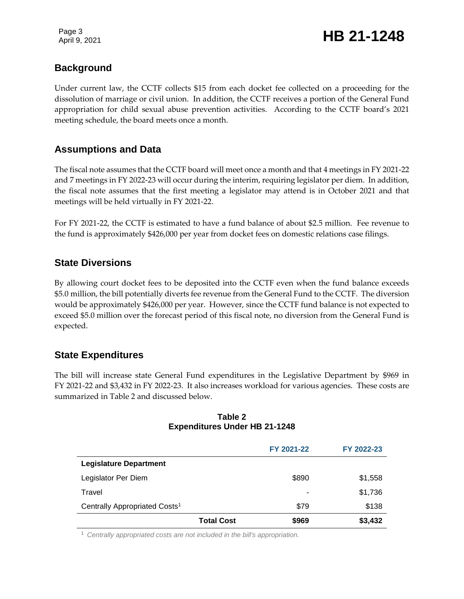# **Background**

Under current law, the CCTF collects \$15 from each docket fee collected on a proceeding for the dissolution of marriage or civil union. In addition, the CCTF receives a portion of the General Fund appropriation for child sexual abuse prevention activities. According to the CCTF board's 2021 meeting schedule, the board meets once a month.

# **Assumptions and Data**

The fiscal note assumes that the CCTF board will meet once a month and that 4 meetings in FY 2021-22 and 7 meetings in FY 2022-23 will occur during the interim, requiring legislator per diem. In addition, the fiscal note assumes that the first meeting a legislator may attend is in October 2021 and that meetings will be held virtually in FY 2021-22.

For FY 2021-22, the CCTF is estimated to have a fund balance of about \$2.5 million. Fee revenue to the fund is approximately \$426,000 per year from docket fees on domestic relations case filings.

### **State Diversions**

By allowing court docket fees to be deposited into the CCTF even when the fund balance exceeds \$5.0 million, the bill potentially diverts fee revenue from the General Fund to the CCTF. The diversion would be approximately \$426,000 per year. However, since the CCTF fund balance is not expected to exceed \$5.0 million over the forecast period of this fiscal note, no diversion from the General Fund is expected.

## **State Expenditures**

The bill will increase state General Fund expenditures in the Legislative Department by \$969 in FY 2021-22 and \$3,432 in FY 2022-23. It also increases workload for various agencies. These costs are summarized in Table 2 and discussed below.

#### **Table 2 Expenditures Under HB 21-1248**

|                                           | FY 2021-22                 | FY 2022-23 |
|-------------------------------------------|----------------------------|------------|
| <b>Legislature Department</b>             |                            |            |
| Legislator Per Diem                       | \$890                      | \$1,558    |
| Travel                                    | ۰                          | \$1,736    |
| Centrally Appropriated Costs <sup>1</sup> | \$79                       | \$138      |
|                                           | \$969<br><b>Total Cost</b> | \$3,432    |

<sup>1</sup> *Centrally appropriated costs are not included in the bill's appropriation.*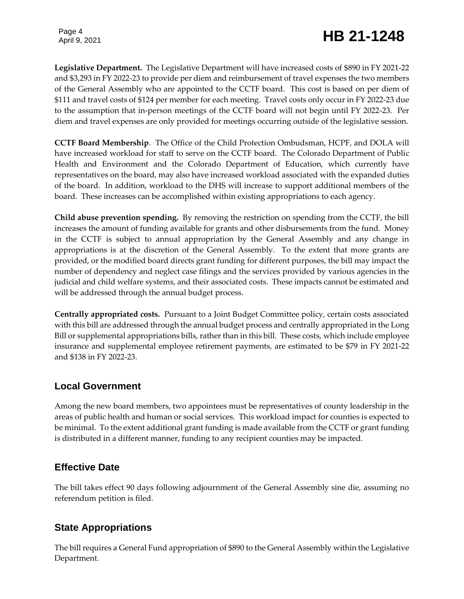Page 4

# Page 4<br>April 9, 2021 **HB 21-1248**

**Legislative Department.** The Legislative Department will have increased costs of \$890 in FY 2021-22 and \$3,293 in FY 2022-23 to provide per diem and reimbursement of travel expenses the two members of the General Assembly who are appointed to the CCTF board. This cost is based on per diem of \$111 and travel costs of \$124 per member for each meeting. Travel costs only occur in FY 2022-23 due to the assumption that in-person meetings of the CCTF board will not begin until FY 2022-23. Per diem and travel expenses are only provided for meetings occurring outside of the legislative session.

**CCTF Board Membership**. The Office of the Child Protection Ombudsman, HCPF, and DOLA will have increased workload for staff to serve on the CCTF board. The Colorado Department of Public Health and Environment and the Colorado Department of Education, which currently have representatives on the board, may also have increased workload associated with the expanded duties of the board. In addition, workload to the DHS will increase to support additional members of the board. These increases can be accomplished within existing appropriations to each agency.

**Child abuse prevention spending.** By removing the restriction on spending from the CCTF, the bill increases the amount of funding available for grants and other disbursements from the fund. Money in the CCTF is subject to annual appropriation by the General Assembly and any change in appropriations is at the discretion of the General Assembly. To the extent that more grants are provided, or the modified board directs grant funding for different purposes, the bill may impact the number of dependency and neglect case filings and the services provided by various agencies in the judicial and child welfare systems, and their associated costs. These impacts cannot be estimated and will be addressed through the annual budget process.

**Centrally appropriated costs.** Pursuant to a Joint Budget Committee policy, certain costs associated with this bill are addressed through the annual budget process and centrally appropriated in the Long Bill or supplemental appropriations bills, rather than in this bill. These costs, which include employee insurance and supplemental employee retirement payments, are estimated to be \$79 in FY 2021-22 and \$138 in FY 2022-23.

#### **Local Government**

Among the new board members, two appointees must be representatives of county leadership in the areas of public health and human or social services. This workload impact for counties is expected to be minimal. To the extent additional grant funding is made available from the CCTF or grant funding is distributed in a different manner, funding to any recipient counties may be impacted.

# **Effective Date**

The bill takes effect 90 days following adjournment of the General Assembly sine die, assuming no referendum petition is filed.

# **State Appropriations**

The bill requires a General Fund appropriation of \$890 to the General Assembly within the Legislative Department.